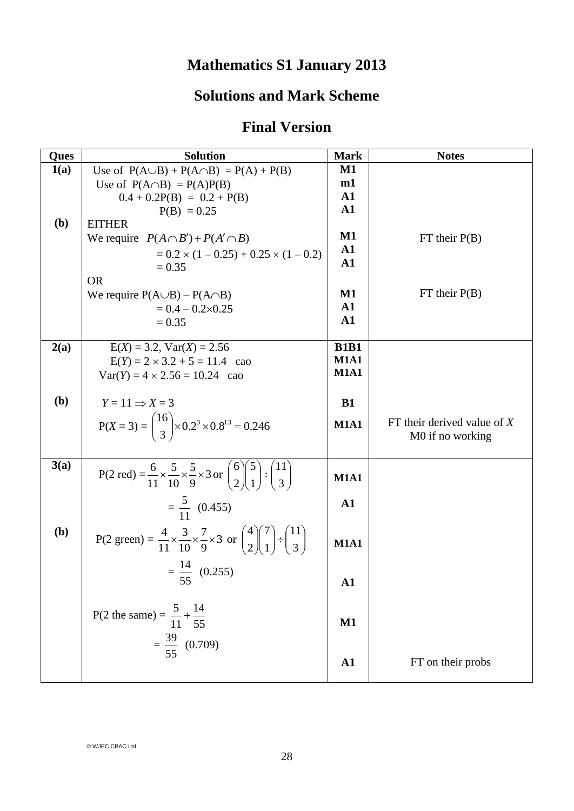## **Mathematics S1 January 2013**

## **Solutions and Mark Scheme**

## **Final Version**

| Ques         | <b>Solution</b>                                                                                                               | <b>Mark</b>   | <b>Notes</b>                  |
|--------------|-------------------------------------------------------------------------------------------------------------------------------|---------------|-------------------------------|
| 1(a)         | Use of $P(A \cup B) + P(A \cap B) = P(A) + P(B)$                                                                              | $\mathbf{M1}$ |                               |
|              | Use of $P(A \cap B) = P(A)P(B)$                                                                                               | m1            |                               |
|              | $0.4 + 0.2P(B) = 0.2 + P(B)$                                                                                                  | ${\bf A1}$    |                               |
|              | $P(B) = 0.25$                                                                                                                 | $\mathbf{A1}$ |                               |
| ( <b>b</b> ) | <b>EITHER</b>                                                                                                                 |               |                               |
|              | We require $P(A \cap B') + P(A' \cap B)$                                                                                      | $\mathbf{M1}$ | $FT$ their $P(B)$             |
|              | $= 0.2 \times (1 - 0.25) + 0.25 \times (1 - 0.2)$                                                                             | $\mathbf{A1}$ |                               |
|              | $= 0.35$                                                                                                                      | $\mathbf{A1}$ |                               |
|              | <b>OR</b>                                                                                                                     |               |                               |
|              | We require $P(A \cup B) - P(A \cap B)$                                                                                        | $\mathbf{M1}$ | $FT$ their $P(B)$             |
|              | $= 0.4 - 0.2 \times 0.25$                                                                                                     | ${\bf A1}$    |                               |
|              | $= 0.35$                                                                                                                      | ${\bf A1}$    |                               |
|              |                                                                                                                               |               |                               |
| 2(a)         | $E(X) = 3.2$ , $Var(X) = 2.56$                                                                                                | <b>B1B1</b>   |                               |
|              | $E(Y) = 2 \times 3.2 + 5 = 11.4$ cao                                                                                          | <b>M1A1</b>   |                               |
|              | $Var(Y) = 4 \times 2.56 = 10.24$ cao                                                                                          | <b>M1A1</b>   |                               |
|              |                                                                                                                               |               |                               |
| (b)          | $Y = 11 \Rightarrow X = 3$                                                                                                    | <b>B1</b>     |                               |
|              |                                                                                                                               |               | FT their derived value of $X$ |
|              | $P(X = 3) = {16 \choose 3} \times 0.2^3 \times 0.8^{13} = 0.246$                                                              | <b>M1A1</b>   |                               |
|              |                                                                                                                               |               | M0 if no working              |
|              |                                                                                                                               |               |                               |
| 3(a)         | P(2 red) = $\frac{6}{11} \times \frac{5}{10} \times \frac{5}{9} \times 3$ or $\binom{6}{2} \binom{5}{1} \div \binom{11}{3}$   | <b>M1A1</b>   |                               |
|              |                                                                                                                               |               |                               |
|              | $=\frac{5}{11}$ (0.455)                                                                                                       | $\mathbf{A1}$ |                               |
|              |                                                                                                                               |               |                               |
| (b)          |                                                                                                                               |               |                               |
|              | P(2 green) = $\frac{4}{11} \times \frac{3}{10} \times \frac{7}{9} \times 3$ or $\binom{4}{2} \binom{7}{1} \div \binom{11}{3}$ | <b>M1A1</b>   |                               |
|              |                                                                                                                               |               |                               |
|              | $=\frac{14}{1}$ (0.255)                                                                                                       |               |                               |
|              | 55                                                                                                                            | ${\bf A1}$    |                               |
|              |                                                                                                                               |               |                               |
|              | P(2 the same) = $\frac{5}{11} + \frac{14}{55}$                                                                                |               |                               |
|              |                                                                                                                               | $\mathbf{M1}$ |                               |
|              | $=\frac{39}{55}$ (0.709)                                                                                                      |               |                               |
|              |                                                                                                                               |               |                               |
|              |                                                                                                                               | ${\bf A1}$    | FT on their probs             |
|              |                                                                                                                               |               |                               |

© WJEC CBAC Ltd.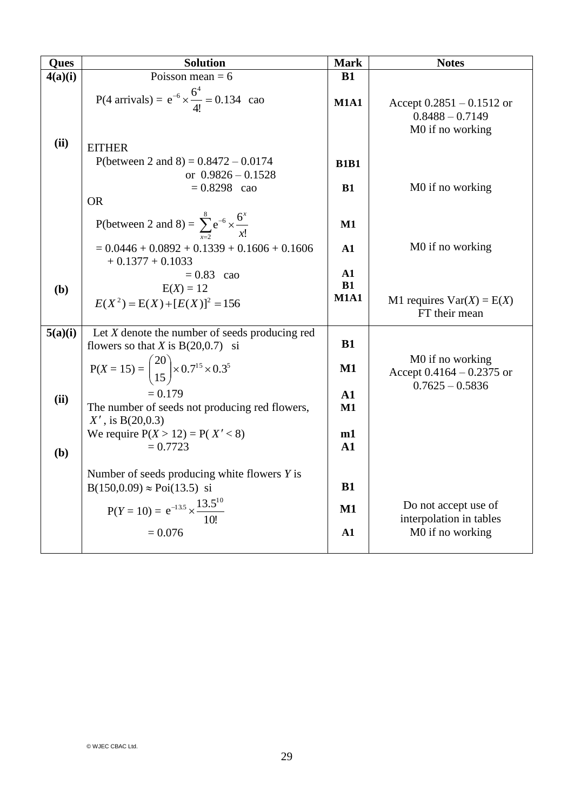| Ques    | <b>Solution</b>                                                      | <b>Mark</b>       | <b>Notes</b>                                                         |
|---------|----------------------------------------------------------------------|-------------------|----------------------------------------------------------------------|
| 4(a)(i) | Poisson mean $= 6$                                                   | B1                |                                                                      |
|         | P(4 arrivals) = $e^{-6} \times \frac{6^4}{4!} = 0.134$ cao           | <b>M1A1</b>       | Accept $0.2851 - 0.1512$ or<br>$0.8488 - 0.7149$<br>M0 if no working |
| (ii)    | <b>EITHER</b>                                                        |                   |                                                                      |
|         | P(between 2 and 8) = $0.8472 - 0.0174$                               | <b>B1B1</b>       |                                                                      |
|         | or $0.9826 - 0.1528$                                                 |                   |                                                                      |
|         | $= 0.8298$ cao                                                       | <b>B1</b>         | M0 if no working                                                     |
|         | <b>OR</b>                                                            |                   |                                                                      |
|         | P(between 2 and 8) = $\sum_{x=2}^{8} e^{-6} \times \frac{6^{x}}{x!}$ | $M1$              |                                                                      |
|         | $= 0.0446 + 0.0892 + 0.1339 + 0.1606 + 0.1606$<br>$+0.1377 + 0.1033$ | A1                | M0 if no working                                                     |
|         | $= 0.83$ cao                                                         | A1                |                                                                      |
| (b)     | $E(X) = 12$                                                          | B1<br><b>M1A1</b> |                                                                      |
|         | $E(X^2) = E(X) + [E(X)]^2 = 156$                                     |                   | M1 requires $Var(X) = E(X)$<br>FT their mean                         |
| 5(a)(i) | Let $X$ denote the number of seeds producing red                     |                   |                                                                      |
|         | flowers so that X is $B(20,0.7)$ si                                  | <b>B1</b>         |                                                                      |
|         | $P(X = 15) = {20 \choose 15} \times 0.7^{15} \times 0.3^{5}$         | M1                | M0 if no working<br>Accept $0.4164 - 0.2375$ or                      |
|         | $= 0.179$                                                            | A1                | $0.7625 - 0.5836$                                                    |
| (ii)    | The number of seeds not producing red flowers,                       | M1                |                                                                      |
|         | $X'$ , is B(20,0.3)                                                  |                   |                                                                      |
|         | We require $P(X > 12) = P(X' < 8)$                                   | m1                |                                                                      |
| (b)     | $= 0.7723$                                                           | A1                |                                                                      |
|         | Number of seeds producing white flowers $Y$ is                       |                   |                                                                      |
|         | $B(150,0.09) \approx Poi(13.5)$ si                                   | B1                |                                                                      |
|         |                                                                      |                   | Do not accept use of                                                 |
|         | $P(Y = 10) = e^{-13.5} \times \frac{13.5^{10}}{10!}$                 | M1                | interpolation in tables                                              |
|         | $= 0.076$                                                            | A1                | M0 if no working                                                     |
|         |                                                                      |                   |                                                                      |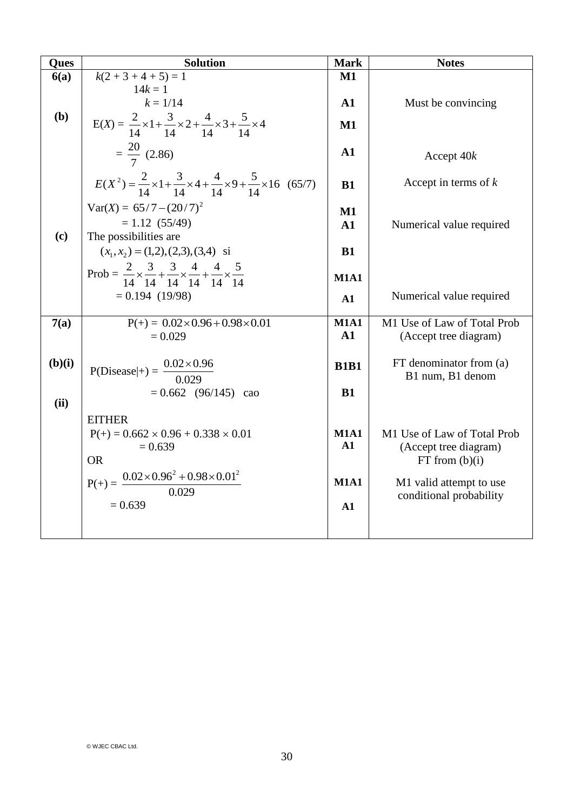| Ques   | <b>Solution</b>                                                                                                  | <b>Mark</b>                  | <b>Notes</b>                                         |
|--------|------------------------------------------------------------------------------------------------------------------|------------------------------|------------------------------------------------------|
| 6(a)   | $k(2+3+4+5)=1$                                                                                                   | $M1$                         |                                                      |
|        | $14k = 1$<br>$k = 1/14$                                                                                          | $\mathbf{A1}$                | Must be convincing                                   |
| (b)    | $E(X) = \frac{2}{14} \times 1 + \frac{3}{14} \times 2 + \frac{4}{14} \times 3 + \frac{5}{14} \times 4$           | $\mathbf{M1}$                |                                                      |
|        | $=\frac{20}{7}$ (2.86)                                                                                           | A1                           | Accept 40k                                           |
|        | $E(X^2) = \frac{2}{14} \times 1 + \frac{3}{14} \times 4 + \frac{4}{14} \times 9 + \frac{5}{14} \times 16$ (65/7) | B1                           | Accept in terms of $k$                               |
|        | $Var(X) = 65/7 - (20/7)^2$<br>$= 1.12 (55/49)$                                                                   | $\mathbf{M1}$<br>${\bf A1}$  | Numerical value required                             |
| (c)    | The possibilities are<br>$(x_1, x_2) = (1,2), (2,3), (3,4)$ si                                                   | B1                           |                                                      |
|        | Prob = $\frac{2}{14} \times \frac{3}{14} + \frac{3}{14} \times \frac{4}{14} + \frac{4}{14} \times \frac{5}{14}$  | <b>M1A1</b>                  |                                                      |
|        | $= 0.194(19/98)$                                                                                                 | A1                           | Numerical value required                             |
| 7(a)   | $P(+) = 0.02 \times 0.96 + 0.98 \times 0.01$<br>$= 0.029$                                                        | <b>M1A1</b><br>$\mathbf{A1}$ | M1 Use of Law of Total Prob<br>(Accept tree diagram) |
| (b)(i) | P(Disease   + ) = $\frac{0.02 \times 0.96}{0.029}$                                                               | <b>B1B1</b>                  | $FT$ denominator from $(a)$<br>B1 num, B1 denom      |
| (ii)   | $= 0.662$ (96/145)<br>cao                                                                                        | B1                           |                                                      |
|        | <b>EITHER</b><br>$P(+) = 0.662 \times 0.96 + 0.338 \times 0.01$                                                  | <b>M1A1</b>                  | M1 Use of Law of Total Prob                          |
|        | $= 0.639$<br><b>OR</b>                                                                                           | A1                           | (Accept tree diagram)<br>FT from (b)(i)              |
|        | $P(+) = \frac{0.02 \times 0.96^2 + 0.98 \times 0.01^2}{0.029}$                                                   | <b>M1A1</b>                  | M1 valid attempt to use<br>conditional probability   |
|        | $= 0.639$                                                                                                        | A1                           |                                                      |